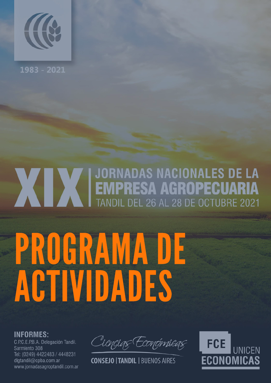

1983 - 2021

## **XIX EMPRESA AGROPECUARIA**<br>TANDIL DEL 26 AL 28 DE OCTUBRE 2021 PROGRAMA DE

# ACTIVIDADES

**INFORMES:** 

C.P.C.E.P.B.A. Delegación Tandil. Sarmiento 308 Tel: (0249) 4422483 / 4448231 dlgtandil@cpba.com.ar www.jornadasagroptandil.com.ar

Ciencias Económicas,

**CONSEJO | TANDIL | BUENOS AIRES** 

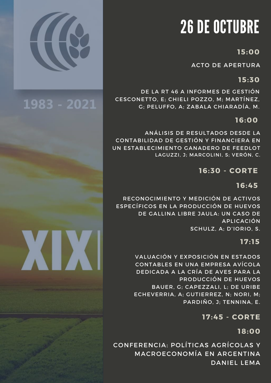## 26 DE OCTUBRE

#### **15:00**

ACTO DE APERTURA

#### **15:30**

DE LA RT 46 A INFORMES DE GESTIÓN CESCONETTO, E; CHIELI POZZO, M; MARTÍNEZ, G; PELUFFO, A; ZABALA CHIARADÍA, M.

#### **16:00**

ANÁLISIS DE RESULTADOS DESDE LA CONTABILIDAD DE GESTIÓN Y FINANCIERA EN UN ESTABLECIMIENTO GANADERO DE FEEDLOT LAGUZZI, J; MARCOLINI, S; VERÓN, C.

#### **16:30 - CORTE**

#### **16:45**

RECONOCIMIENTO Y MEDICIÓN DE ACTIVOS ESPECÍFICOS EN LA PRODUCCIÓN DE HUEVOS DE GALLINA LIBRE JAULA: UN CASO DE APLICACIÓN SCHULZ, A; D'IORIO, S.

#### **17: 15**

VALUACIÓN Y EXPOSICIÓN EN ESTADOS CONTABLES EN UNA EMPRESA AVÍCOLA DEDICADA A LA CRÍA DE AVES PARA LA PRODUCCIÓN DE HUEVOS BAUER, G; CAPEZZALI, L; DE URIBE ECHEVERRIA, A; GUTIERREZ, N; NORI, M; PARDIÑO, J; TENNINA, E.

**17:45 - CORTE**

**18:00**

CONFERENCIA: POLÍTICAS AGRÍCOLAS Y MACROECONOMÍA EN ARGENTINA DANIEL LEMA



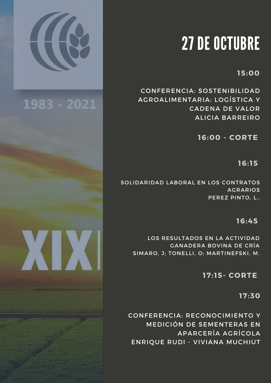

### 1983 - 2021

## 27 DE OCTUBRE

#### **15:00**

CONFERENCIA: SOSTENIBILIDAD AGROALIMENTARIA: LOGÍSTICA Y CADENA DE VALOR ALICIA BARREIRO

**16:00 - CORTE**

**16: 15**

SOLIDARIDAD LABORAL EN LOS CONTRATOS AGRARIOS PEREZ PINTO, L..

#### **16:45**

LOS RESULTADOS EN LA ACTIVIDAD GANADERA BOVINA DE CRÍA SIMARO, J; TONELLI, O; MARTINEFSKI, M.

#### **17: 15- CORTE**

**17:30**

CONFERENCIA: RECONOCIMIENTO Y MEDICIÓN DE SEMENTERAS EN APARCERÍA AGRÍCOLA ENRIQUE RUDI - VIVIANA MUCHIUT